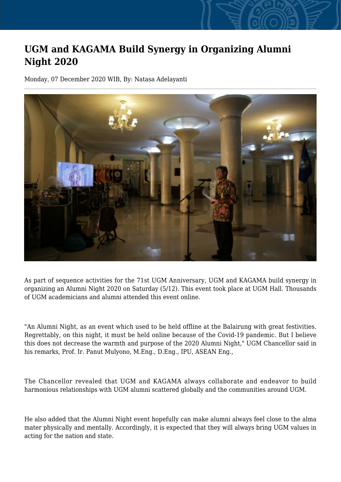## **UGM and KAGAMA Build Synergy in Organizing Alumni Night 2020**

Monday, 07 December 2020 WIB, By: Natasa Adelayanti



As part of sequence activities for the 71st UGM Anniversary, UGM and KAGAMA build synergy in organizing an Alumni Night 2020 on Saturday (5/12). This event took place at UGM Hall. Thousands of UGM academicians and alumni attended this event online.

"An Alumni Night, as an event which used to be held offline at the Balairung with great festivities. Regrettably, on this night, it must be held online because of the Covid-19 pandemic. But I believe this does not decrease the warmth and purpose of the 2020 Alumni Night," UGM Chancellor said in his remarks, Prof. Ir. Panut Mulyono, M.Eng., D.Eng., IPU, ASEAN Eng.,

The Chancellor revealed that UGM and KAGAMA always collaborate and endeavor to build harmonious relationships with UGM alumni scattered globally and the communities around UGM.

He also added that the Alumni Night event hopefully can make alumni always feel close to the alma mater physically and mentally. Accordingly, it is expected that they will always bring UGM values in acting for the nation and state.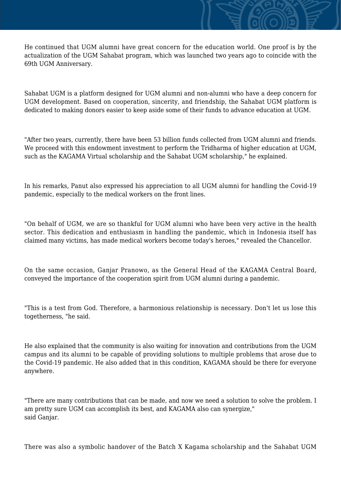He continued that UGM alumni have great concern for the education world. One proof is by the actualization of the UGM Sahabat program, which was launched two years ago to coincide with the 69th UGM Anniversary.

Sahabat UGM is a platform designed for UGM alumni and non-alumni who have a deep concern for UGM development. Based on cooperation, sincerity, and friendship, the Sahabat UGM platform is dedicated to making donors easier to keep aside some of their funds to advance education at UGM.

"After two years, currently, there have been 53 billion funds collected from UGM alumni and friends. We proceed with this endowment investment to perform the Tridharma of higher education at UGM, such as the KAGAMA Virtual scholarship and the Sahabat UGM scholarship," he explained.

In his remarks, Panut also expressed his appreciation to all UGM alumni for handling the Covid-19 pandemic, especially to the medical workers on the front lines.

"On behalf of UGM, we are so thankful for UGM alumni who have been very active in the health sector. This dedication and enthusiasm in handling the pandemic, which in Indonesia itself has claimed many victims, has made medical workers become today's heroes," revealed the Chancellor.

On the same occasion, Ganjar Pranowo, as the General Head of the KAGAMA Central Board, conveyed the importance of the cooperation spirit from UGM alumni during a pandemic.

"This is a test from God. Therefore, a harmonious relationship is necessary. Don't let us lose this togetherness, "he said.

He also explained that the community is also waiting for innovation and contributions from the UGM campus and its alumni to be capable of providing solutions to multiple problems that arose due to the Covid-19 pandemic. He also added that in this condition, KAGAMA should be there for everyone anywhere.

"There are many contributions that can be made, and now we need a solution to solve the problem. I am pretty sure UGM can accomplish its best, and KAGAMA also can synergize," said Ganjar.

There was also a symbolic handover of the Batch X Kagama scholarship and the Sahabat UGM